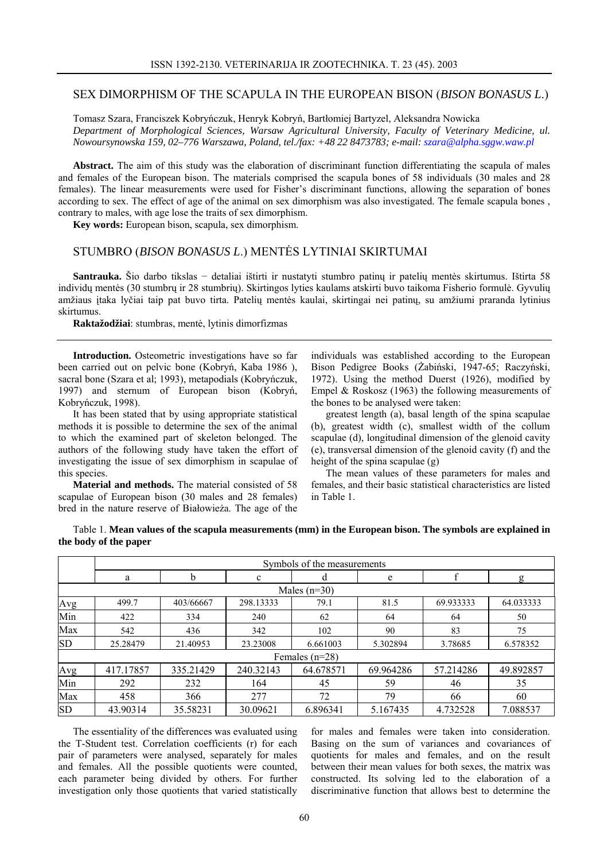## SEX DIMORPHISM OF THE SCAPULA IN THE EUROPEAN BISON (*BISON BONASUS L*.)

Tomasz Szara, Franciszek Kobryńczuk, Henryk Kobryń, Bartłomiej Bartyzel, Aleksandra Nowicka

*Department of Morphological Sciences, Warsaw Agricultural University, Faculty of Veterinary Medicine, ul. Nowoursynowska 159, 02–776 Warszawa, Poland, tel./fax: +48 22 8473783; e-mail: szara@alpha.sggw.waw.pl*

**Abstract.** The aim of this study was the elaboration of discriminant function differentiating the scapula of males and females of the European bison. The materials comprised the scapula bones of 58 individuals (30 males and 28 females). The linear measurements were used for Fisher's discriminant functions, allowing the separation of bones according to sex. The effect of age of the animal on sex dimorphism was also investigated. The female scapula bones , contrary to males, with age lose the traits of sex dimorphism.

**Key words:** European bison, scapula, sex dimorphism.

## STUMBRO (*BISON BONASUS L*.) MENTĖS LYTINIAI SKIRTUMAI

**Santrauka.** Šio darbo tikslas − detaliai ištirti ir nustatyti stumbro patinų ir patelių mentės skirtumus. Ištirta 58 individų mentės (30 stumbrų ir 28 stumbrių). Skirtingos lyties kaulams atskirti buvo taikoma Fisherio formulė. Gyvulių amžiaus įtaka lyčiai taip pat buvo tirta. Patelių mentės kaulai, skirtingai nei patinų, su amžiumi praranda lytinius skirtumus.

**Raktažodžiai**: stumbras, mentė, lytinis dimorfizmas

**Introduction.** Osteometric investigations have so far been carried out on pelvic bone (Kobryń, Kaba 1986 ), sacral bone (Szara et al; 1993), metapodials (Kobryńczuk, 1997) and sternum of European bison (Kobryń, Kobryńczuk, 1998).

It has been stated that by using appropriate statistical methods it is possible to determine the sex of the animal to which the examined part of skeleton belonged. The authors of the following study have taken the effort of investigating the issue of sex dimorphism in scapulae of this species.

**Material and methods.** The material consisted of 58 scapulae of European bison (30 males and 28 females) bred in the nature reserve of Białowieża. The age of the

individuals was established according to the European Bison Pedigree Books (Żabiński, 1947-65; Raczyński, 1972). Using the method Duerst (1926), modified by Empel & Roskosz (1963) the following measurements of the bones to be analysed were taken:

greatest length (a), basal length of the spina scapulae (b), greatest width (c), smallest width of the collum scapulae (d), longitudinal dimension of the glenoid cavity (e), transversal dimension of the glenoid cavity (f) and the height of the spina scapulae (g)

The mean values of these parameters for males and females, and their basic statistical characteristics are listed in Table 1.

Table 1. **Mean values of the scapula measurements (mm) in the European bison. The symbols are explained in the body of the paper**

|                  | Symbols of the measurements |           |           |                |           |           |           |
|------------------|-----------------------------|-----------|-----------|----------------|-----------|-----------|-----------|
|                  | a                           | b         | c         | d              | e         | f         | g         |
|                  |                             |           |           | Males $(n=30)$ |           |           |           |
| Avg              | 499.7                       | 403/66667 | 298.13333 | 79.1           | 81.5      | 69.933333 | 64.033333 |
| Min              | 422                         | 334       | 240       | 62             | 64        | 64        | 50        |
| Max              | 542                         | 436       | 342       | 102            | 90        | 83        | 75        |
| <b>SD</b>        | 25.28479                    | 21.40953  | 23.23008  | 6.661003       | 5.302894  | 3.78685   | 6.578352  |
| Females $(n=28)$ |                             |           |           |                |           |           |           |
| Avg              | 417.17857                   | 335.21429 | 240.32143 | 64.678571      | 69.964286 | 57.214286 | 49.892857 |
| Min              | 292                         | 232       | 164       | 45             | 59        | 46        | 35        |
| Max              | 458                         | 366       | 277       | 72             | 79        | 66        | 60        |
| <b>SD</b>        | 43.90314                    | 35.58231  | 30.09621  | 6.896341       | 5.167435  | 4.732528  | 7.088537  |

The essentiality of the differences was evaluated using the T-Student test. Correlation coefficients (r) for each pair of parameters were analysed, separately for males and females. All the possible quotients were counted, each parameter being divided by others. For further investigation only those quotients that varied statistically

for males and females were taken into consideration. Basing on the sum of variances and covariances of quotients for males and females, and on the result between their mean values for both sexes, the matrix was constructed. Its solving led to the elaboration of a discriminative function that allows best to determine the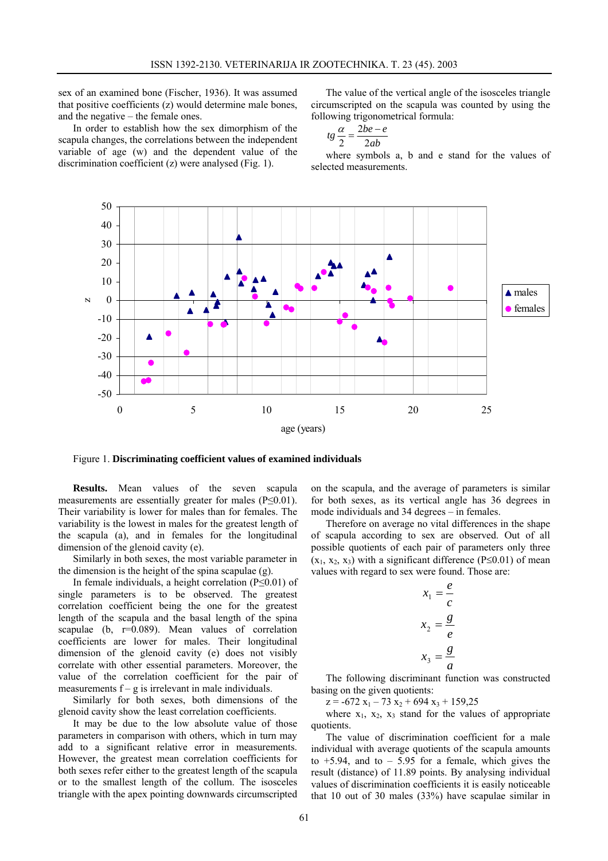sex of an examined bone (Fischer, 1936). It was assumed that positive coefficients (z) would determine male bones, and the negative – the female ones.

In order to establish how the sex dimorphism of the scapula changes, the correlations between the independent variable of age (w) and the dependent value of the discrimination coefficient (z) were analysed (Fig. 1).

The value of the vertical angle of the isosceles triangle circumscripted on the scapula was counted by using the following trigonometrical formula:

$$
tg\frac{\alpha}{2}=\frac{2be-e}{2ab}
$$

where symbols a, b and e stand for the values of selected measurements.



Figure 1. **Discriminating coefficient values of examined individuals**

**Results.** Mean values of the seven scapula measurements are essentially greater for males (P≤0.01). Their variability is lower for males than for females. The variability is the lowest in males for the greatest length of the scapula (a), and in females for the longitudinal dimension of the glenoid cavity (e).

Similarly in both sexes, the most variable parameter in the dimension is the height of the spina scapulae (g).

In female individuals, a height correlation (P≤0.01) of single parameters is to be observed. The greatest correlation coefficient being the one for the greatest length of the scapula and the basal length of the spina scapulae (b, r=0.089). Mean values of correlation coefficients are lower for males. Their longitudinal dimension of the glenoid cavity (e) does not visibly correlate with other essential parameters. Moreover, the value of the correlation coefficient for the pair of measurements  $f - g$  is irrelevant in male individuals.

Similarly for both sexes, both dimensions of the glenoid cavity show the least correlation coefficients.

It may be due to the low absolute value of those parameters in comparison with others, which in turn may add to a significant relative error in measurements. However, the greatest mean correlation coefficients for both sexes refer either to the greatest length of the scapula or to the smallest length of the collum. The isosceles triangle with the apex pointing downwards circumscripted on the scapula, and the average of parameters is similar for both sexes, as its vertical angle has 36 degrees in mode individuals and 34 degrees – in females.

Therefore on average no vital differences in the shape of scapula according to sex are observed. Out of all possible quotients of each pair of parameters only three  $(x_1, x_2, x_3)$  with a significant difference (P≤0.01) of mean values with regard to sex were found. Those are:

$$
x_1 = \frac{e}{c}
$$

$$
x_2 = \frac{g}{e}
$$

$$
x_3 = \frac{g}{a}
$$

The following discriminant function was constructed basing on the given quotients:

 $z = -672 x_1 - 73 x_2 + 694 x_3 + 159,25$ 

where  $x_1$ ,  $x_2$ ,  $x_3$  stand for the values of appropriate quotients.

The value of discrimination coefficient for a male individual with average quotients of the scapula amounts to  $+5.94$ , and to  $-5.95$  for a female, which gives the result (distance) of 11.89 points. By analysing individual values of discrimination coefficients it is easily noticeable that 10 out of 30 males (33%) have scapulae similar in